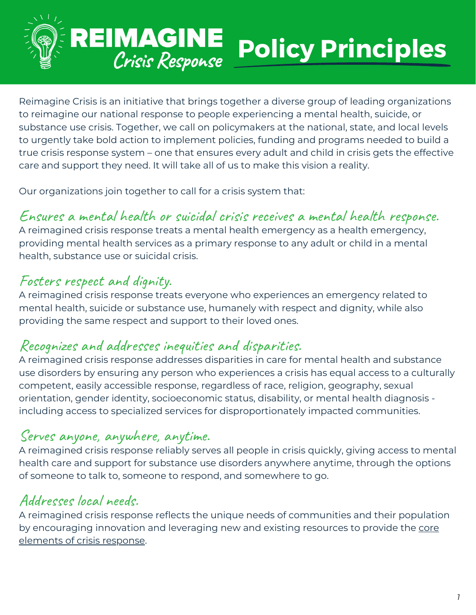

## REIMAGINE **Policy Principles** Crisis Response

Reimagine Crisis is an initiative that brings together a diverse group of leading organizations to reimagine our national response to people experiencing a mental health, suicide, or substance use crisis. Together, we call on policymakers at the national, state, and local levels to urgently take bold action to implement policies, funding and programs needed to build a true crisis response system – one that ensures every adult and child in crisis gets the effective care and support they need. It will take all of us to make this vision a reality.

Our organizations join together to call for a crisis system that:

# Ensures a mental health or suicidal crisis receives a mental health response.

A reimagined crisis response treats a mental health emergency as a health emergency, providing mental health services as a primary response to any adult or child in a mental health, substance use or suicidal crisis.

# Fosters respect and dignity.

A reimagined crisis response treats everyone who experiences an emergency related to mental health, suicide or substance use, humanely with respect and dignity, while also providing the same respect and support to their loved ones.

## Recognizes and addresses inequities and disparities.

A reimagined crisis response addresses disparities in care for mental health and substance use disorders by ensuring any person who experiences a crisis has equal access to a culturally competent, easily accessible response, regardless of race, religion, geography, sexual orientation, gender identity, socioeconomic status, disability, or mental health diagnosis including access to specialized services for disproportionately impacted communities.

#### Serves anyone, anywhere, anytime.

A reimagined crisis response reliably serves all people in crisis quickly, giving access to mental health care and support for substance use disorders anywhere anytime, through the options of someone to talk to, someone to respond, and somewhere to go.

# Addresses local needs.

A reimagined crisis response reflects the unique needs of communities and their population by [encouraging](https://www.samhsa.gov/sites/default/files/national-guidelines-for-behavioral-health-crisis-services-executive-summary-02242020.pdf) innovation and leveraging new and existing resour[c](https://www.samhsa.gov/sites/default/files/national-guidelines-for-behavioral-health-crisis-services-executive-summary-02242020.pdf)es to provide the core elements of crisis response.